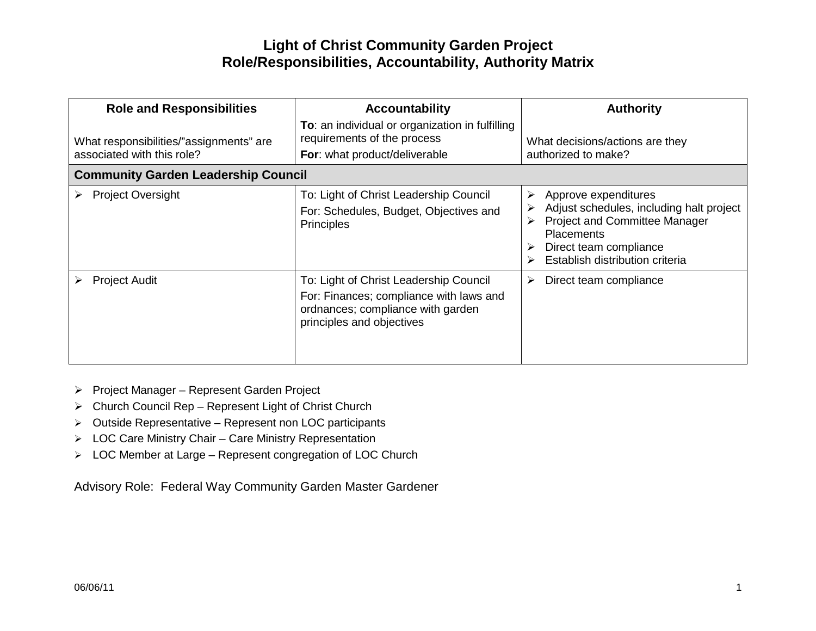| <b>Role and Responsibilities</b><br>What responsibilities/"assignments" are<br>associated with this role? | <b>Accountability</b><br>To: an individual or organization in fulfilling<br>requirements of the process<br>For: what product/deliverable            | <b>Authority</b><br>What decisions/actions are they<br>authorized to make?                                                                                                                      |
|-----------------------------------------------------------------------------------------------------------|-----------------------------------------------------------------------------------------------------------------------------------------------------|-------------------------------------------------------------------------------------------------------------------------------------------------------------------------------------------------|
| <b>Community Garden Leadership Council</b>                                                                |                                                                                                                                                     |                                                                                                                                                                                                 |
| <b>Project Oversight</b>                                                                                  | To: Light of Christ Leadership Council<br>For: Schedules, Budget, Objectives and<br><b>Principles</b>                                               | Approve expenditures<br>➤<br>Adjust schedules, including halt project<br><b>Project and Committee Manager</b><br><b>Placements</b><br>Direct team compliance<br>Establish distribution criteria |
| <b>Project Audit</b>                                                                                      | To: Light of Christ Leadership Council<br>For: Finances; compliance with laws and<br>ordnances; compliance with garden<br>principles and objectives | Direct team compliance<br>➤                                                                                                                                                                     |

- ▶ Project Manager Represent Garden Project
- Church Council Rep Represent Light of Christ Church
- Outside Representative Represent non LOC participants
- LOC Care Ministry Chair Care Ministry Representation
- LOC Member at Large Represent congregation of LOC Church

Advisory Role: Federal Way Community Garden Master Gardener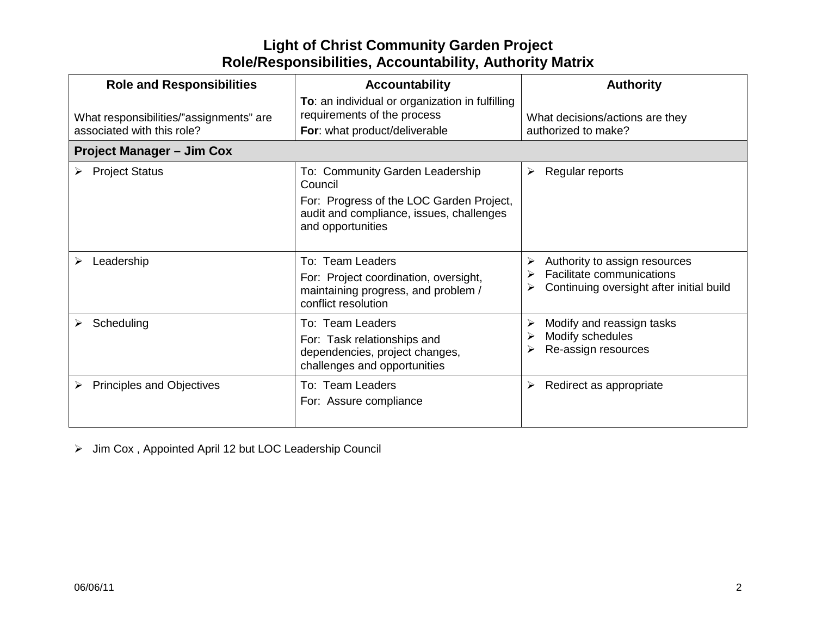| <b>Role and Responsibilities</b>        | <b>Accountability</b>                                                                                                             | <b>Authority</b>                                                                                       |
|-----------------------------------------|-----------------------------------------------------------------------------------------------------------------------------------|--------------------------------------------------------------------------------------------------------|
| What responsibilities/"assignments" are | To: an individual or organization in fulfilling<br>requirements of the process                                                    | What decisions/actions are they                                                                        |
| associated with this role?              | For: what product/deliverable                                                                                                     | authorized to make?                                                                                    |
| <b>Project Manager - Jim Cox</b>        |                                                                                                                                   |                                                                                                        |
| <b>Project Status</b>                   | To: Community Garden Leadership<br>Council                                                                                        | Regular reports                                                                                        |
|                                         | For: Progress of the LOC Garden Project,<br>audit and compliance, issues, challenges<br>and opportunities                         |                                                                                                        |
| Leadership                              | <b>Team Leaders</b><br>T∩∵<br>For: Project coordination, oversight,<br>maintaining progress, and problem /<br>conflict resolution | Authority to assign resources<br>Facilitate communications<br>Continuing oversight after initial build |
| Scheduling                              | To: Team Leaders<br>For: Task relationships and<br>dependencies, project changes,<br>challenges and opportunities                 | Modify and reassign tasks<br>Modify schedules<br>Re-assign resources                                   |
| <b>Principles and Objectives</b>        | To: Team Leaders<br>For: Assure compliance                                                                                        | Redirect as appropriate<br>➤                                                                           |

> Jim Cox, Appointed April 12 but LOC Leadership Council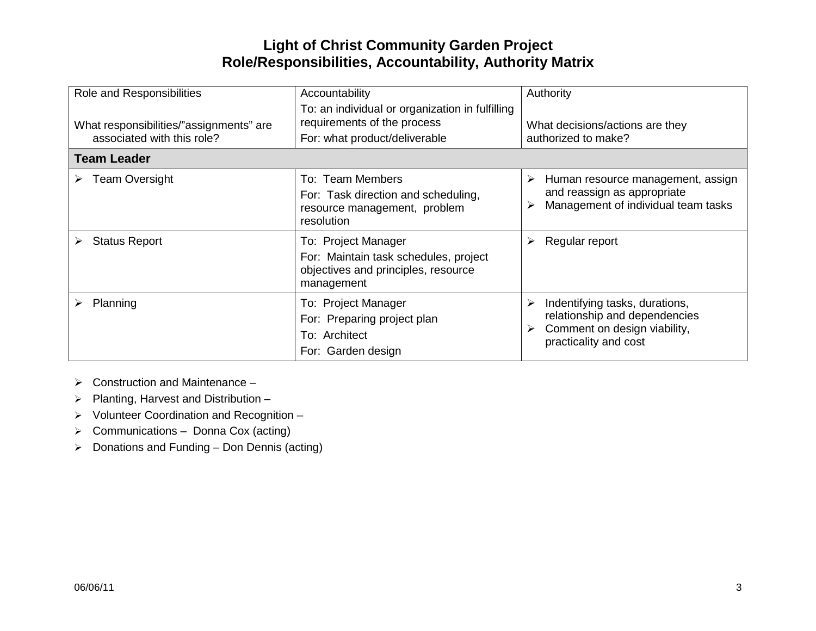| Role and Responsibilities                                             | Accountability<br>To: an individual or organization in fulfilling<br>requirements of the process                  | Authority                                                                                                                     |
|-----------------------------------------------------------------------|-------------------------------------------------------------------------------------------------------------------|-------------------------------------------------------------------------------------------------------------------------------|
| What responsibilities/"assignments" are<br>associated with this role? | For: what product/deliverable                                                                                     | What decisions/actions are they<br>authorized to make?                                                                        |
| <b>Team Leader</b>                                                    |                                                                                                                   |                                                                                                                               |
| <b>Team Oversight</b><br>➤                                            | To: Team Members<br>For: Task direction and scheduling,<br>resource management, problem<br>resolution             | Human resource management, assign<br>➤<br>and reassign as appropriate<br>Management of individual team tasks                  |
| <b>Status Report</b><br>➤                                             | To: Project Manager<br>For: Maintain task schedules, project<br>objectives and principles, resource<br>management | Regular report<br>➤                                                                                                           |
| Planning                                                              | To: Project Manager<br>For: Preparing project plan<br>To: Architect<br>For: Garden design                         | Indentifying tasks, durations,<br>➤<br>relationship and dependencies<br>Comment on design viability,<br>practicality and cost |

- $\triangleright$  Construction and Maintenance –
- $\triangleright$  Planting, Harvest and Distribution –
- Volunteer Coordination and Recognition –
- ▶ Communications Donna Cox (acting)
- $\triangleright$  Donations and Funding Don Dennis (acting)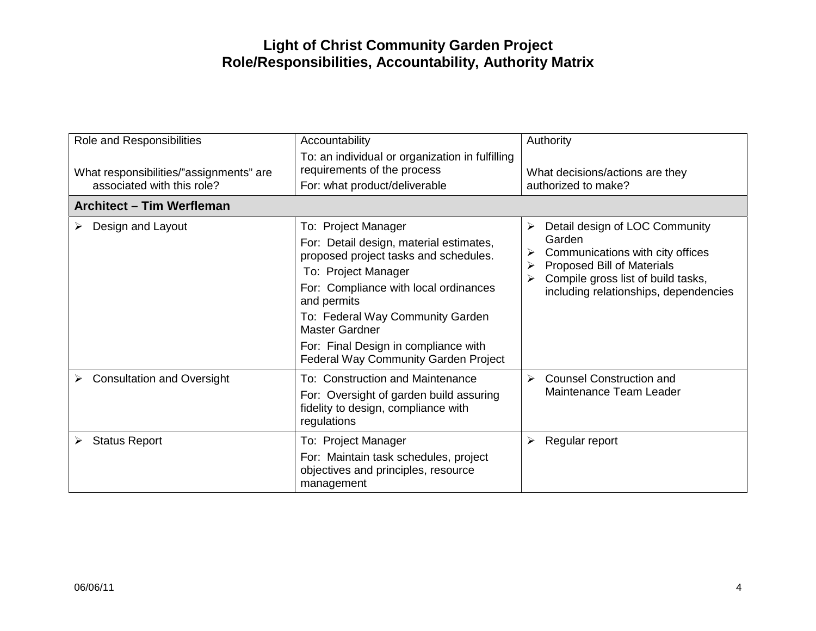| Role and Responsibilities<br>What responsibilities/"assignments" are<br>associated with this role? | Accountability<br>To: an individual or organization in fulfilling<br>requirements of the process<br>For: what product/deliverable                                                                                                                                                                                                          | Authority<br>What decisions/actions are they<br>authorized to make?                                                                                                                                                            |
|----------------------------------------------------------------------------------------------------|--------------------------------------------------------------------------------------------------------------------------------------------------------------------------------------------------------------------------------------------------------------------------------------------------------------------------------------------|--------------------------------------------------------------------------------------------------------------------------------------------------------------------------------------------------------------------------------|
| Architect - Tim Werfleman                                                                          |                                                                                                                                                                                                                                                                                                                                            |                                                                                                                                                                                                                                |
| Design and Layout                                                                                  | To: Project Manager<br>For: Detail design, material estimates,<br>proposed project tasks and schedules.<br>To: Project Manager<br>For: Compliance with local ordinances<br>and permits<br>To: Federal Way Community Garden<br><b>Master Gardner</b><br>For: Final Design in compliance with<br><b>Federal Way Community Garden Project</b> | Detail design of LOC Community<br>$\blacktriangleright$<br>Garden<br>Communications with city offices<br>➤<br><b>Proposed Bill of Materials</b><br>Compile gross list of build tasks,<br>including relationships, dependencies |
| <b>Consultation and Oversight</b><br>➤                                                             | To: Construction and Maintenance<br>For: Oversight of garden build assuring<br>fidelity to design, compliance with<br>regulations                                                                                                                                                                                                          | <b>Counsel Construction and</b><br>$\blacktriangleright$<br>Maintenance Team Leader                                                                                                                                            |
| <b>Status Report</b>                                                                               | To: Project Manager<br>For: Maintain task schedules, project<br>objectives and principles, resource<br>management                                                                                                                                                                                                                          | Regular report<br>➤                                                                                                                                                                                                            |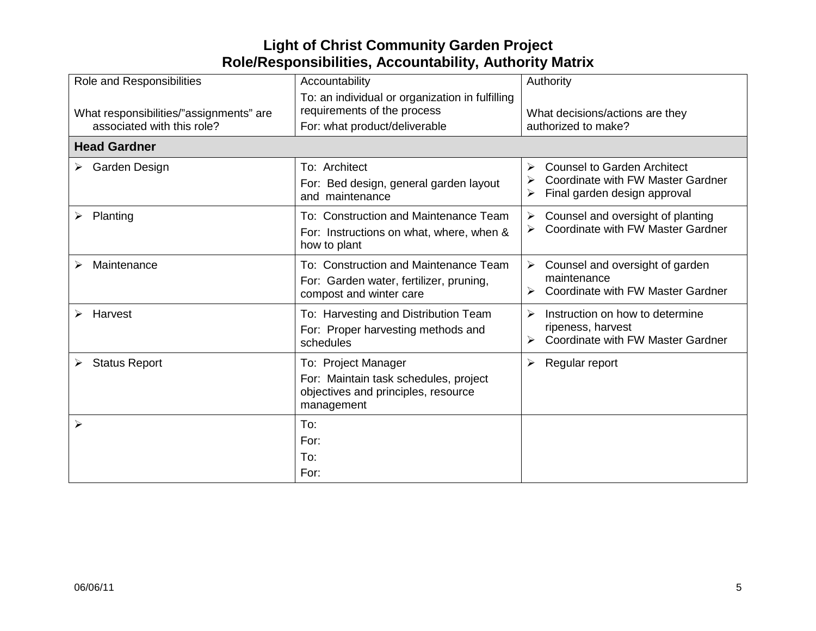| Role and Responsibilities                                             | Accountability                                                                                                    | Authority                                                                                                           |
|-----------------------------------------------------------------------|-------------------------------------------------------------------------------------------------------------------|---------------------------------------------------------------------------------------------------------------------|
| What responsibilities/"assignments" are<br>associated with this role? | To: an individual or organization in fulfilling<br>requirements of the process<br>For: what product/deliverable   | What decisions/actions are they<br>authorized to make?                                                              |
| <b>Head Gardner</b>                                                   |                                                                                                                   |                                                                                                                     |
| Garden Design                                                         | To: Architect<br>For: Bed design, general garden layout<br>and maintenance                                        | <b>Counsel to Garden Architect</b><br><b>Coordinate with FW Master Gardner</b><br>Final garden design approval<br>➤ |
| Planting<br>➤                                                         | To: Construction and Maintenance Team<br>For: Instructions on what, where, when &<br>how to plant                 | Counsel and oversight of planting<br>➤<br>Coordinate with FW Master Gardner                                         |
| Maintenance                                                           | To: Construction and Maintenance Team<br>For: Garden water, fertilizer, pruning,<br>compost and winter care       | Counsel and oversight of garden<br>➤<br>maintenance<br>Coordinate with FW Master Gardner                            |
| Harvest<br>➤                                                          | To: Harvesting and Distribution Team<br>For: Proper harvesting methods and<br>schedules                           | Instruction on how to determine<br>➤<br>ripeness, harvest<br><b>Coordinate with FW Master Gardner</b>               |
| <b>Status Report</b><br>➤                                             | To: Project Manager<br>For: Maintain task schedules, project<br>objectives and principles, resource<br>management | Regular report<br>➤                                                                                                 |
| ≻                                                                     | To:<br>For:<br>To:<br>For:                                                                                        |                                                                                                                     |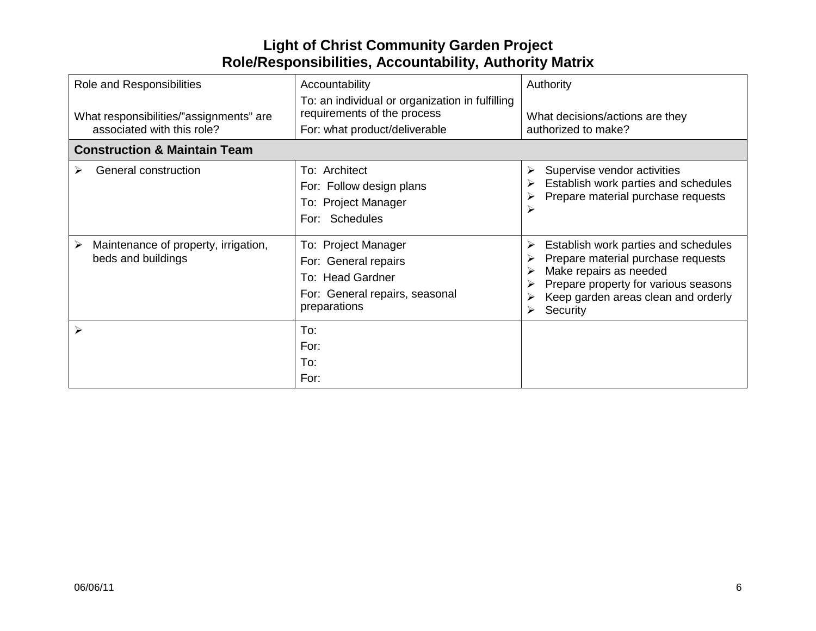| Role and Responsibilities<br>What responsibilities/"assignments" are<br>associated with this role? | Accountability<br>To: an individual or organization in fulfilling<br>requirements of the process<br>For: what product/deliverable | Authority<br>What decisions/actions are they<br>authorized to make?                                                                                                                                  |
|----------------------------------------------------------------------------------------------------|-----------------------------------------------------------------------------------------------------------------------------------|------------------------------------------------------------------------------------------------------------------------------------------------------------------------------------------------------|
| <b>Construction &amp; Maintain Team</b>                                                            |                                                                                                                                   |                                                                                                                                                                                                      |
| General construction                                                                               | To: Architect<br>For: Follow design plans<br>To: Project Manager<br>For: Schedules                                                | Supervise vendor activities<br>➤<br>Establish work parties and schedules<br>Prepare material purchase requests                                                                                       |
| Maintenance of property, irrigation,<br>➤<br>beds and buildings                                    | To: Project Manager<br>For: General repairs<br>To: Head Gardner<br>For: General repairs, seasonal<br>preparations                 | Establish work parties and schedules<br>Prepare material purchase requests<br>Make repairs as needed<br>Prepare property for various seasons<br>Keep garden areas clean and orderly<br>Security<br>➤ |
|                                                                                                    | To:<br>For:<br>To:<br>For:                                                                                                        |                                                                                                                                                                                                      |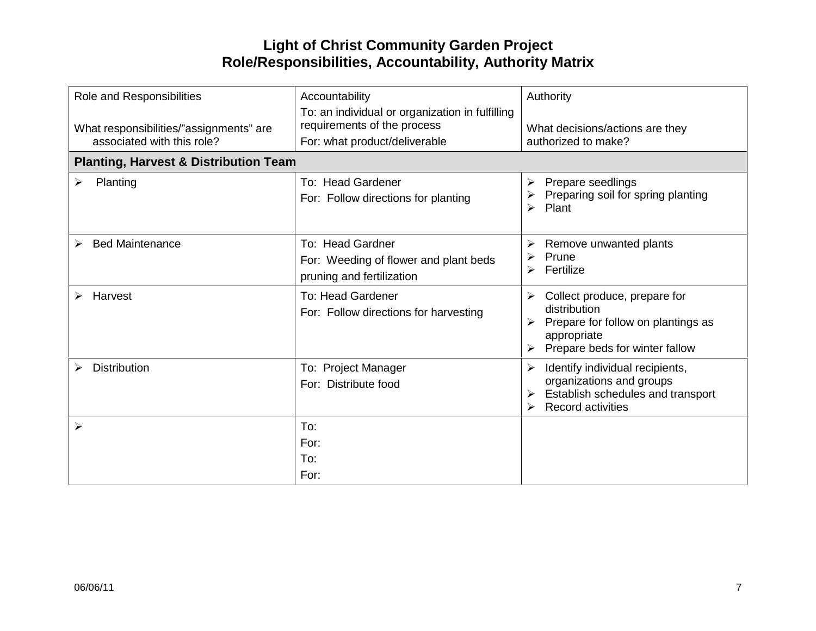| Role and Responsibilities<br>What responsibilities/"assignments" are<br>associated with this role? | Accountability<br>To: an individual or organization in fulfilling<br>requirements of the process<br>For: what product/deliverable | Authority<br>What decisions/actions are they<br>authorized to make?                                                                      |
|----------------------------------------------------------------------------------------------------|-----------------------------------------------------------------------------------------------------------------------------------|------------------------------------------------------------------------------------------------------------------------------------------|
| <b>Planting, Harvest &amp; Distribution Team</b>                                                   |                                                                                                                                   |                                                                                                                                          |
| Planting<br>➤                                                                                      | To: Head Gardener<br>For: Follow directions for planting                                                                          | Prepare seedlings<br>➤<br>Preparing soil for spring planting<br>Plant<br>⋗                                                               |
| <b>Bed Maintenance</b><br>➤                                                                        | To: Head Gardner<br>For: Weeding of flower and plant beds<br>pruning and fertilization                                            | Remove unwanted plants<br>➤<br>Prune<br>➤<br>Fertilize<br>➤                                                                              |
| Harvest                                                                                            | <b>To: Head Gardener</b><br>For: Follow directions for harvesting                                                                 | Collect produce, prepare for<br>➤<br>distribution<br>Prepare for follow on plantings as<br>appropriate<br>Prepare beds for winter fallow |
| <b>Distribution</b>                                                                                | To: Project Manager<br>For: Distribute food                                                                                       | Identify individual recipients,<br>➤<br>organizations and groups<br>Establish schedules and transport<br><b>Record activities</b>        |
| ➤                                                                                                  | To:<br>For:<br>To:<br>For:                                                                                                        |                                                                                                                                          |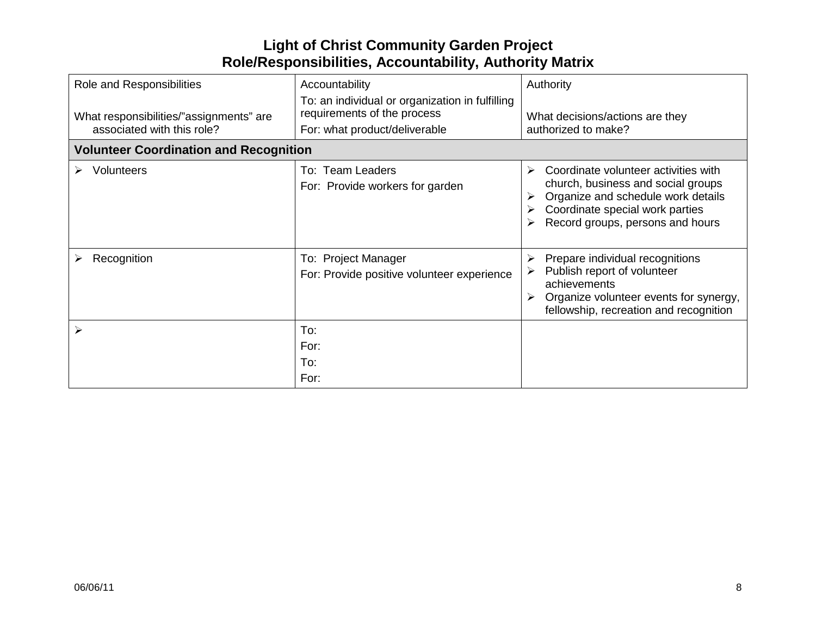| Role and Responsibilities<br>What responsibilities/"assignments" are<br>associated with this role? | Accountability<br>To: an individual or organization in fulfilling<br>requirements of the process<br>For: what product/deliverable | Authority<br>What decisions/actions are they<br>authorized to make?                                                                                                                          |
|----------------------------------------------------------------------------------------------------|-----------------------------------------------------------------------------------------------------------------------------------|----------------------------------------------------------------------------------------------------------------------------------------------------------------------------------------------|
| <b>Volunteer Coordination and Recognition</b>                                                      |                                                                                                                                   |                                                                                                                                                                                              |
| <b>Volunteers</b>                                                                                  | To: Team Leaders<br>For: Provide workers for garden                                                                               | Coordinate volunteer activities with<br>➤<br>church, business and social groups<br>Organize and schedule work details<br>Coordinate special work parties<br>Record groups, persons and hours |
| Recognition                                                                                        | To: Project Manager<br>For: Provide positive volunteer experience                                                                 | Prepare individual recognitions<br>➤<br>Publish report of volunteer<br>achievements<br>Organize volunteer events for synergy,<br>fellowship, recreation and recognition                      |
|                                                                                                    | To:<br>For:<br>To:<br>For:                                                                                                        |                                                                                                                                                                                              |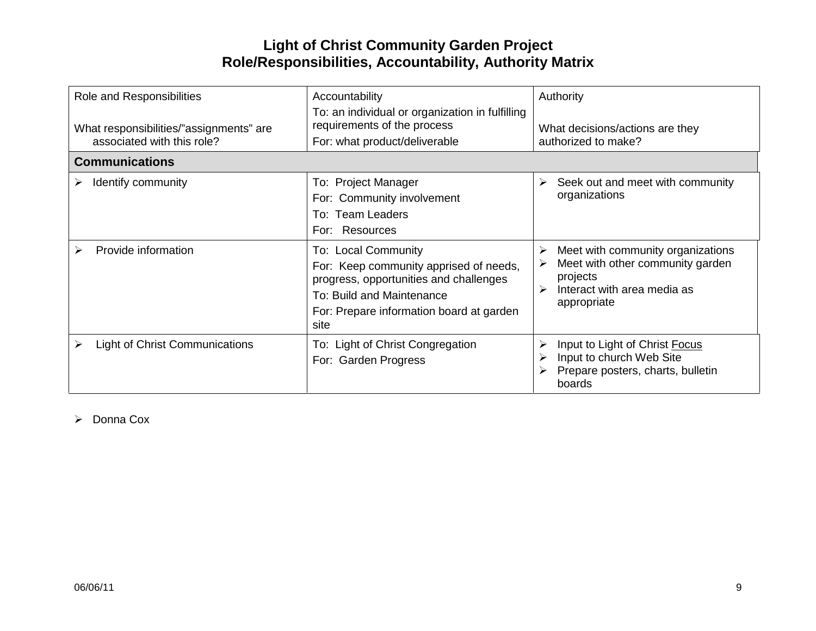| Role and Responsibilities<br>What responsibilities/"assignments" are<br>associated with this role? | Accountability<br>To: an individual or organization in fulfilling<br>requirements of the process<br>For: what product/deliverable                                                        | Authority<br>What decisions/actions are they<br>authorized to make?                                                                  |
|----------------------------------------------------------------------------------------------------|------------------------------------------------------------------------------------------------------------------------------------------------------------------------------------------|--------------------------------------------------------------------------------------------------------------------------------------|
| <b>Communications</b>                                                                              |                                                                                                                                                                                          |                                                                                                                                      |
| Identify community                                                                                 | To: Project Manager<br>For: Community involvement<br>To: Team Leaders<br>For: Resources                                                                                                  | Seek out and meet with community<br>≻<br>organizations                                                                               |
| Provide information                                                                                | To: Local Community<br>For: Keep community apprised of needs,<br>progress, opportunities and challenges<br>To: Build and Maintenance<br>For: Prepare information board at garden<br>site | Meet with community organizations<br>≻<br>Meet with other community garden<br>projects<br>Interact with area media as<br>appropriate |
| <b>Light of Christ Communications</b>                                                              | To: Light of Christ Congregation<br>For: Garden Progress                                                                                                                                 | Input to Light of Christ Focus<br>Input to church Web Site<br>Prepare posters, charts, bulletin<br>boards                            |

 $\triangleright$  Donna Cox